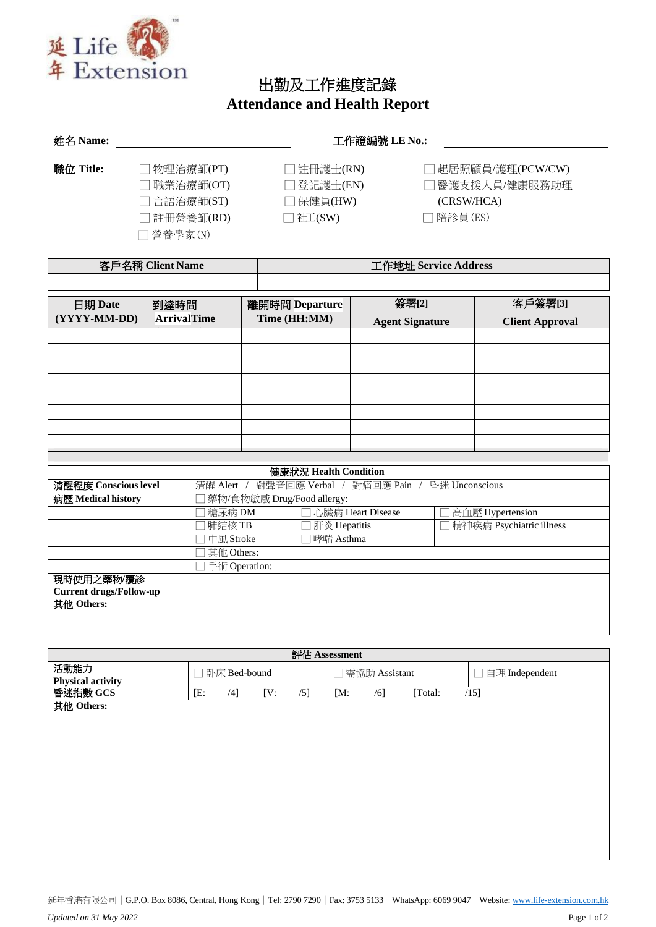

□ 營養學家(N)

## 出勤及工作進度記錄 **Attendance and Health Report**

| 姓名 Name:  | 工作證編號 LE No.: |           |                    |  |  |  |  |
|-----------|---------------|-----------|--------------------|--|--|--|--|
| 職位 Title: | 物理治療師(PT)     | ]註冊護士(RN) | □ 起居照顧員/護理(PCW/CW) |  |  |  |  |
|           | 職業治療師(OT)     | □登記護士(EN) | ヿ醫護支援人員/健康服務助理     |  |  |  |  |
|           | □ 言語治療師(ST)   | ]保健員(HW)  | (CRSW/HCA)         |  |  |  |  |

□ 註冊營養師(RD) □ 社工(SW) □ □ 陪診員(ES)

|              | 客戶名稱 Client Name   |                | 工作地址 Service Address   |                        |  |  |  |
|--------------|--------------------|----------------|------------------------|------------------------|--|--|--|
|              |                    |                |                        |                        |  |  |  |
| 日期 Date      | 到達時間               | 離開時間 Departure | 簽署[2]                  | 客戶簽署[3]                |  |  |  |
| (YYYY-MM-DD) | <b>ArrivalTime</b> | Time (HH:MM)   | <b>Agent Signature</b> | <b>Client Approval</b> |  |  |  |
|              |                    |                |                        |                        |  |  |  |
|              |                    |                |                        |                        |  |  |  |
|              |                    |                |                        |                        |  |  |  |
|              |                    |                |                        |                        |  |  |  |
|              |                    |                |                        |                        |  |  |  |
|              |                    |                |                        |                        |  |  |  |
|              |                    |                |                        |                        |  |  |  |
|              |                    |                |                        |                        |  |  |  |

| 健康狀況 Health Condition          |                                                         |                |                          |  |  |  |
|--------------------------------|---------------------------------------------------------|----------------|--------------------------|--|--|--|
| 清醒程度 Conscious level           | 清醒 Alert / 對聲音回應 Verbal / 對痛回應 Pain /<br>昏迷 Unconscious |                |                          |  |  |  |
| 病歷 Medical history             | 藥物/食物敏感 Drug/Food allergy:                              |                |                          |  |  |  |
|                                | 糖尿病 DM<br>□ 心臟病 Heart Disease<br>高血壓 Hypertension       |                |                          |  |  |  |
|                                | 肺結核 TB                                                  | □ 肝炎 Hepatitis | 精神疾病 Psychiatric illness |  |  |  |
|                                | 中風 Stroke                                               | □哮喘 Asthma     |                          |  |  |  |
|                                | 其他 Others:                                              |                |                          |  |  |  |
|                                | 手術 Operation:                                           |                |                          |  |  |  |
| 現時使用之藥物/覆診                     |                                                         |                |                          |  |  |  |
| <b>Current drugs/Follow-up</b> |                                                         |                |                          |  |  |  |
| 其他 Others:                     |                                                         |                |                          |  |  |  |
|                                |                                                         |                |                          |  |  |  |
|                                |                                                         |                |                          |  |  |  |

|                          |     |               |     |     | 評估 Assessment |                         |         |                     |
|--------------------------|-----|---------------|-----|-----|---------------|-------------------------|---------|---------------------|
| 活動能力                     |     | □卧床 Bed-bound |     |     |               | $\square$ 需協助 Assistant |         | 自理 Independent<br>× |
| <b>Physical activity</b> |     |               |     |     |               |                         |         |                     |
| 昏迷指數 GCS                 | [E: | /4]           | [V: | /5] | [M:           | $/6$ ]                  | [Total: | /15]                |
| 其他 Others:               |     |               |     |     |               |                         |         |                     |
|                          |     |               |     |     |               |                         |         |                     |
|                          |     |               |     |     |               |                         |         |                     |
|                          |     |               |     |     |               |                         |         |                     |
|                          |     |               |     |     |               |                         |         |                     |
|                          |     |               |     |     |               |                         |         |                     |
|                          |     |               |     |     |               |                         |         |                     |
|                          |     |               |     |     |               |                         |         |                     |
|                          |     |               |     |     |               |                         |         |                     |
|                          |     |               |     |     |               |                         |         |                     |
|                          |     |               |     |     |               |                         |         |                     |
|                          |     |               |     |     |               |                         |         |                     |
|                          |     |               |     |     |               |                         |         |                     |
|                          |     |               |     |     |               |                         |         |                     |
|                          |     |               |     |     |               |                         |         |                     |

延年香港有限公司│G.P.O. Box 8086, Central, Hong Kong│Tel: 2790 7290│Fax: 3753 5133│WhatsApp: 6069 9047│Website: [www.life-extension.com.hk](http://www.life-extension.com.hk/) *Updated on 31 May 2022* Page 1 of 2